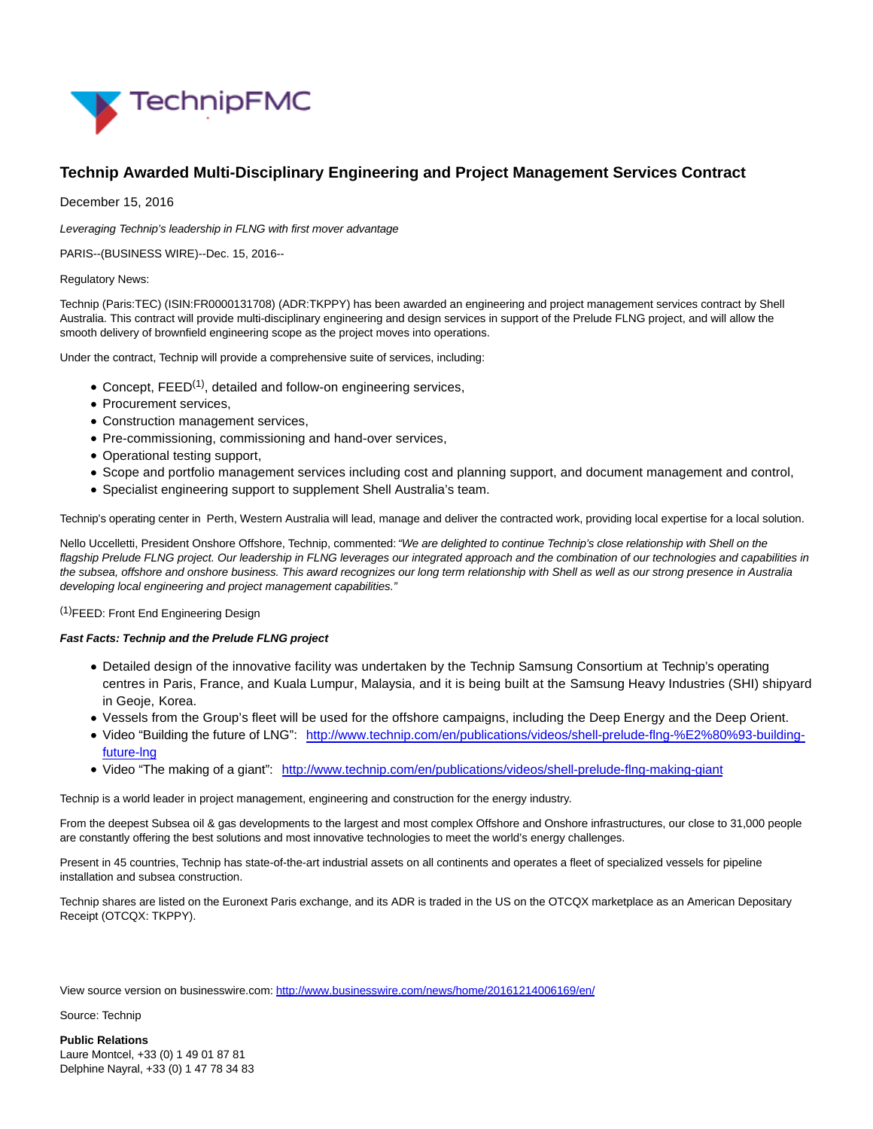

## **Technip Awarded Multi-Disciplinary Engineering and Project Management Services Contract**

December 15, 2016

Leveraging Technip's leadership in FLNG with first mover advantage

PARIS--(BUSINESS WIRE)--Dec. 15, 2016--

## Regulatory News:

Technip (Paris:TEC) (ISIN:FR0000131708) (ADR:TKPPY) has been awarded an engineering and project management services contract by Shell Australia. This contract will provide multi-disciplinary engineering and design services in support of the Prelude FLNG project, and will allow the smooth delivery of brownfield engineering scope as the project moves into operations.

Under the contract, Technip will provide a comprehensive suite of services, including:

- Concept,  $\mathsf{FEED}^{(1)}$ , detailed and follow-on engineering services,
- Procurement services.
- Construction management services,
- Pre-commissioning, commissioning and hand-over services,
- Operational testing support,
- Scope and portfolio management services including cost and planning support, and document management and control,
- Specialist engineering support to supplement Shell Australia's team.

Technip's operating center in Perth, Western Australia will lead, manage and deliver the contracted work, providing local expertise for a local solution.

Nello Uccelletti, President Onshore Offshore, Technip, commented: "We are delighted to continue Technip's close relationship with Shell on the flagship Prelude FLNG project. Our leadership in FLNG leverages our integrated approach and the combination of our technologies and capabilities in the subsea, offshore and onshore business. This award recognizes our long term relationship with Shell as well as our strong presence in Australia developing local engineering and project management capabilities."

(1)FEED: Front End Engineering Design

## **Fast Facts: Technip and the Prelude FLNG project**

- Detailed design of the innovative facility was undertaken by the Technip Samsung Consortium at Technip's operating centres in Paris, France, and Kuala Lumpur, Malaysia, and it is being built at the Samsung Heavy Industries (SHI) shipyard in Geoje, Korea.
- Vessels from the Group's fleet will be used for the offshore campaigns, including the Deep Energy and the Deep Orient.
- Video "Building the future of LNG": [http://www.technip.com/en/publications/videos/shell-prelude-flng-%E2%80%93-building](http://cts.businesswire.com/ct/CT?id=smartlink&url=http%3A%2F%2Fwww.technip.com%2Fen%2Fpublications%2Fvideos%2Fshell-prelude-flng-%25E2%2580%2593-building-future-lng&esheet=51478402&newsitemid=20161214006169&lan=en-US&anchor=http%3A%2F%2Fwww.technip.com%2Fen%2Fpublications%2Fvideos%2Fshell-prelude-flng-%25E2%2580%2593-building-future-lng&index=1&md5=e8c3e24e906da3f0a9e6fe42fd55a151)future-lng
- Video "The making of a giant": [http://www.technip.com/en/publications/videos/shell-prelude-flng-making-giant](http://cts.businesswire.com/ct/CT?id=smartlink&url=http%3A%2F%2Fwww.technip.com%2Fen%2Fpublications%2Fvideos%2Fshell-prelude-flng-making-giant&esheet=51478402&newsitemid=20161214006169&lan=en-US&anchor=http%3A%2F%2Fwww.technip.com%2Fen%2Fpublications%2Fvideos%2Fshell-prelude-flng-making-giant&index=2&md5=5a4888b85b0bfd0056ac24c6f8043faa)

Technip is a world leader in project management, engineering and construction for the energy industry.

From the deepest Subsea oil & gas developments to the largest and most complex Offshore and Onshore infrastructures, our close to 31,000 people are constantly offering the best solutions and most innovative technologies to meet the world's energy challenges.

Present in 45 countries, Technip has state-of-the-art industrial assets on all continents and operates a fleet of specialized vessels for pipeline installation and subsea construction.

Technip shares are listed on the Euronext Paris exchange, and its ADR is traded in the US on the OTCQX marketplace as an American Depositary Receipt (OTCQX: TKPPY).

View source version on businesswire.com:<http://www.businesswire.com/news/home/20161214006169/en/>

Source: Technip

**Public Relations** Laure Montcel, +33 (0) 1 49 01 87 81 Delphine Nayral, +33 (0) 1 47 78 34 83